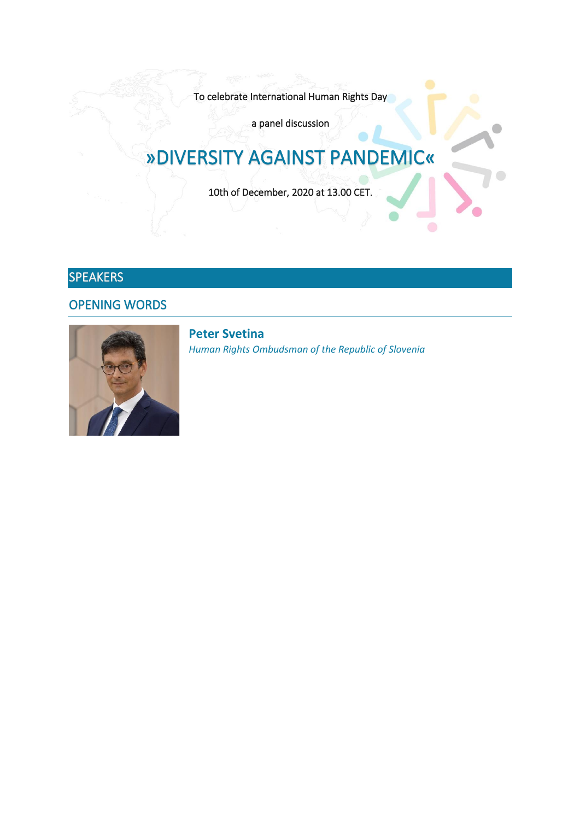To celebrate International Human Rights Day

a panel discussion

# »DIVERSITY AGAINST PANDEMIC«

10th of December, 2020 at 13.00 CET.

# SPEAKERS

OPENING WORDS



**Peter Svetina** *Human Rights Ombudsman of the Republic of Slovenia*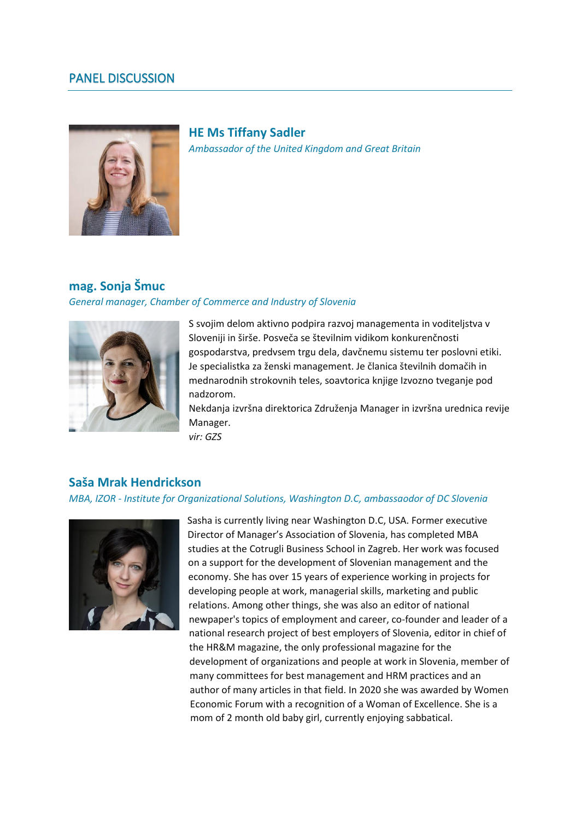## PANEL DISCUSSION



**HE Ms Tiffany Sadler** *Ambassador of the United Kingdom and Great Britain*

## **mag. Sonja Šmuc**

#### *General manager, Chamber of Commerce and Industry of Slovenia*



S svojim delom aktivno podpira razvoj managementa in voditeljstva v Sloveniji in širše. Posveča se številnim vidikom konkurenčnosti gospodarstva, predvsem trgu dela, davčnemu sistemu ter poslovni etiki. Je specialistka za ženski management. Je članica številnih domačih in mednarodnih strokovnih teles, soavtorica knjige Izvozno tveganje pod nadzorom.

Nekdanja izvršna direktorica Združenja Manager in izvršna urednica revije Manager.

*vir: GZS*

## **Saša Mrak Hendrickson**

#### *MBA, IZOR - Institute for Organizational Solutions, Washington D.C, ambassaodor of DC Slovenia*



Sasha is currently living near Washington D.C, USA. Former executive Director of Manager's Association of Slovenia, has completed MBA studies at the Cotrugli Business School in Zagreb. Her work was focused on a support for the development of Slovenian management and the economy. She has over 15 years of experience working in projects for developing people at work, managerial skills, marketing and public relations. Among other things, she was also an editor of national newpaper's topics of employment and career, co-founder and leader of a national research project of best employers of Slovenia, editor in chief of the HR&M magazine, the only professional magazine for the development of organizations and people at work in Slovenia, member of many committees for best management and HRM practices and an author of many articles in that field. In 2020 she was awarded by Women Economic Forum with a recognition of a Woman of Excellence. She is a mom of 2 month old baby girl, currently enjoying sabbatical.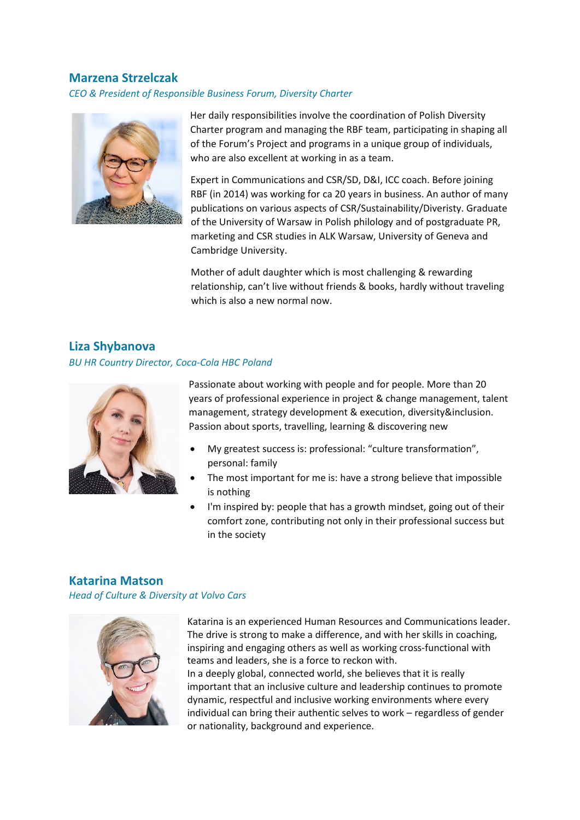### **Marzena Strzelczak**

## *CEO & President of Responsible Business Forum, Diversity Charter*



Her daily responsibilities involve the coordination of Polish Diversity Charter program and managing the RBF team, participating in shaping all of the Forum's Project and programs in a unique group of individuals, who are also excellent at working in as a team.

Expert in Communications and CSR/SD, D&I, ICC coach. Before joining RBF (in 2014) was working for ca 20 years in business. An author of many publications on various aspects of CSR/Sustainability/Diveristy. Graduate of the University of Warsaw in Polish philology and of postgraduate PR, marketing and CSR studies in ALK Warsaw, University of Geneva and Cambridge University.

Mother of adult daughter which is most challenging & rewarding relationship, can't live without friends & books, hardly without traveling which is also a new normal now.

# **Liza Shybanova** *BU HR Country Director, Coca-Cola HBC Poland*



Passionate about working with people and for people. More than 20 years of professional experience in project & change management, talent management, strategy development & execution, diversity&inclusion. Passion about sports, travelling, learning & discovering new

- My greatest success is: professional: "culture transformation", personal: family
- The most important for me is: have a strong believe that impossible is nothing
- I'm inspired by: people that has a growth mindset, going out of their comfort zone, contributing not only in their professional success but in the society

# **Katarina Matson**

*Head of Culture & Diversity at Volvo Cars*



Katarina is an experienced Human Resources and Communications leader. The drive is strong to make a difference, and with her skills in coaching, inspiring and engaging others as well as working cross-functional with teams and leaders, she is a force to reckon with. In a deeply global, connected world, she believes that it is really important that an inclusive culture and leadership continues to promote dynamic, respectful and inclusive working environments where every individual can bring their authentic selves to work – regardless of gender or nationality, background and experience.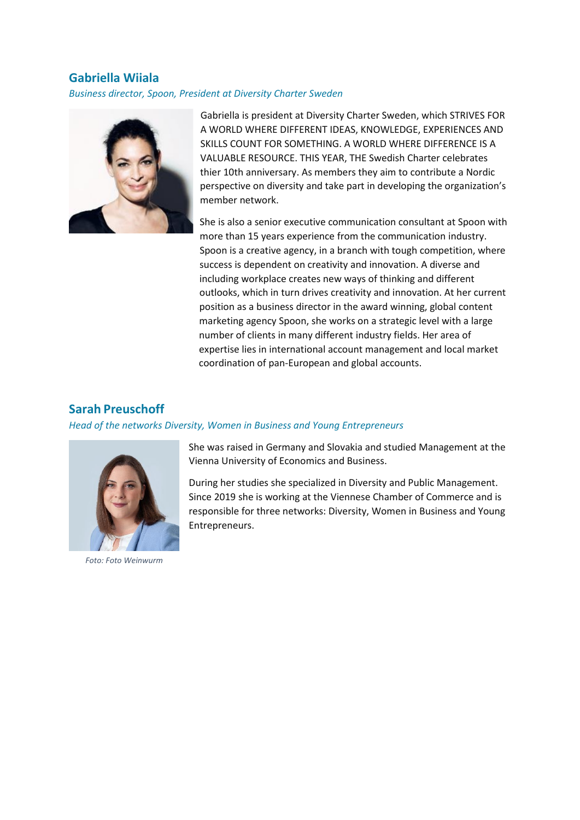## **Gabriella Wiiala**

## *Business director, Spoon, President at Diversity Charter Sweden*



Gabriella is president at Diversity Charter Sweden, which STRIVES FOR A WORLD WHERE DIFFERENT IDEAS, KNOWLEDGE, EXPERIENCES AND SKILLS COUNT FOR SOMETHING. A WORLD WHERE DIFFERENCE IS A VALUABLE RESOURCE. THIS YEAR, THE Swedish Charter celebrates thier 10th anniversary. As members they aim to contribute a Nordic perspective on diversity and take part in developing the organization's member network.

She is also a senior executive communication consultant at Spoon with more than 15 years experience from the communication industry. Spoon is a creative agency, in a branch with tough competition, where success is dependent on creativity and innovation. A diverse and including workplace creates new ways of thinking and different outlooks, which in turn drives creativity and innovation. At her current position as a business director in the award winning, global content marketing agency Spoon, she works on a strategic level with a large number of clients in many different industry fields. Her area of expertise lies in international account management and local market coordination of pan-European and global accounts.

## **Sarah Preuschoff**

#### *Head of the networks Diversity, Women in Business and Young Entrepreneurs*



*Foto: Foto Weinwurm*

She was raised in Germany and Slovakia and studied Management at the Vienna University of Economics and Business.

During her studies she specialized in Diversity and Public Management. Since 2019 she is working at the Viennese Chamber of Commerce and is responsible for three networks: Diversity, Women in Business and Young Entrepreneurs.